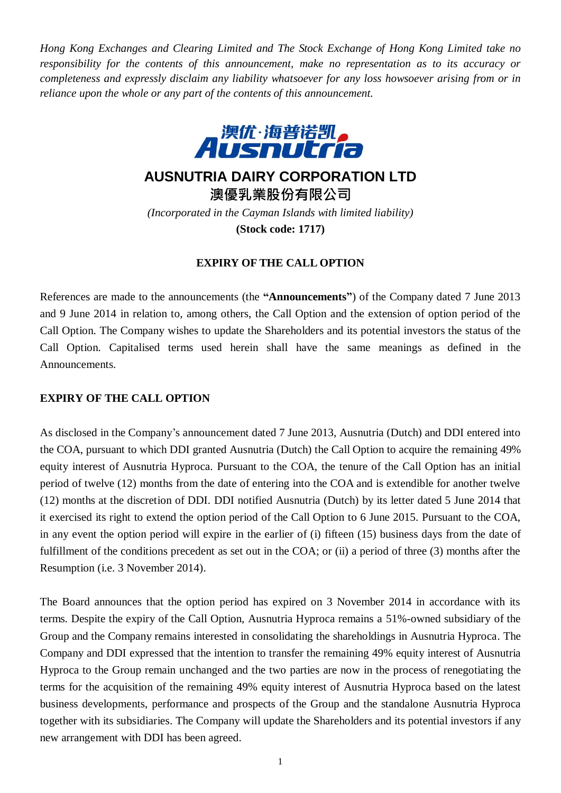*Hong Kong Exchanges and Clearing Limited and The Stock Exchange of Hong Kong Limited take no responsibility for the contents of this announcement, make no representation as to its accuracy or completeness and expressly disclaim any liability whatsoever for any loss howsoever arising from or in reliance upon the whole or any part of the contents of this announcement.*



**AUSNUTRIA DAIRY CORPORATION LTD**

**澳優乳業股份有限公司**

*(Incorporated in the Cayman Islands with limited liability)* **(Stock code: 1717)**

## **EXPIRY OF THE CALL OPTION**

References are made to the announcements (the **"Announcements"**) of the Company dated 7 June 2013 and 9 June 2014 in relation to, among others, the Call Option and the extension of option period of the Call Option. The Company wishes to update the Shareholders and its potential investors the status of the Call Option. Capitalised terms used herein shall have the same meanings as defined in the Announcements.

## **EXPIRY OF THE CALL OPTION**

As disclosed in the Company's announcement dated 7 June 2013, Ausnutria (Dutch) and DDI entered into the COA, pursuant to which DDI granted Ausnutria (Dutch) the Call Option to acquire the remaining 49% equity interest of Ausnutria Hyproca. Pursuant to the COA, the tenure of the Call Option has an initial period of twelve (12) months from the date of entering into the COA and is extendible for another twelve (12) months at the discretion of DDI. DDI notified Ausnutria (Dutch) by its letter dated 5 June 2014 that it exercised its right to extend the option period of the Call Option to 6 June 2015. Pursuant to the COA, in any event the option period will expire in the earlier of (i) fifteen (15) business days from the date of fulfillment of the conditions precedent as set out in the COA; or (ii) a period of three (3) months after the Resumption (i.e. 3 November 2014).

The Board announces that the option period has expired on 3 November 2014 in accordance with its terms. Despite the expiry of the Call Option, Ausnutria Hyproca remains a 51%-owned subsidiary of the Group and the Company remains interested in consolidating the shareholdings in Ausnutria Hyproca. The Company and DDI expressed that the intention to transfer the remaining 49% equity interest of Ausnutria Hyproca to the Group remain unchanged and the two parties are now in the process of renegotiating the terms for the acquisition of the remaining 49% equity interest of Ausnutria Hyproca based on the latest business developments, performance and prospects of the Group and the standalone Ausnutria Hyproca together with its subsidiaries. The Company will update the Shareholders and its potential investors if any new arrangement with DDI has been agreed.